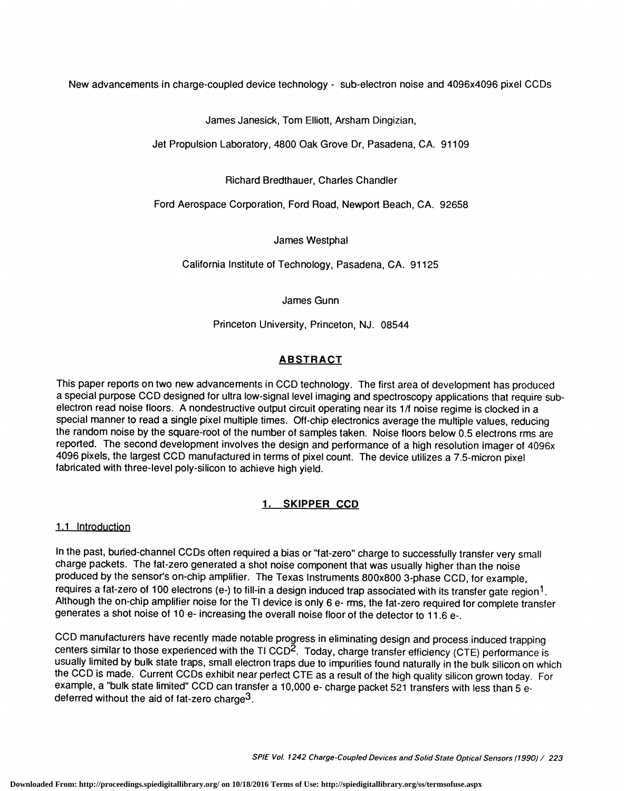New advancements in charge-coupled device technology - sub-electron noise and 4096x4096 pixel CCDs

James Janesick, Tom Elliott, Arsham Dingizian,

Jet Propulsion Laboratory, 4800 Oak Grove Dr, Pasadena, CA. 91109

Richard Bredthauer, Charles Chandler

Ford Aerospace Corporation, Ford Road, Newport Beach, CA. 92658

James Westphal

California Institute of Technology, Pasadena, CA. 91125

James Gunn

Princeton University, Princeton, NJ. 08544

# **ABSTRACT**

This paper reports on two new advancements in CCD technology. The first area of development has produced a special purpose CCD designed for ultra low-signal level imaging and spectroscopy applications that require subelectron read noise floors. A nondestructive output circuit operating near its 1/f noise regime is clocked in a special manner to read a single pixel multiple times. Off-chip electronics average the multiple values, reducing the random noise by the square-root of the number of samples taken. Noise floors below 0.5 electrons rms are reported. The second development involves the design and performance of a high resolution imager of 4096x 4096 pixels, the largest CCD manufactured in terms of pixel count. The device utilizes a 7.5-micron pixel fabricated with three-level poly-silicon to achieve high yield.

# 1. SKIPPER CCD

#### 1.1 Introduction

In the past, buried-channel CCDs often required a bias or "fat-zero" charge to successfully transfer very small charge packets. The fat-zero generated a shot noise component that was usually higher than the noise produced by the sensor's on-chip amplifier. The Texas Instruments 800x800 3-phase CCD, for example, requires a fat-zero of 100 electrons (e-) to fill-in a design induced trap associated with its transfer gate region<sup>1</sup>. Although the on-chip amplifier noise for the TI device is only 6 e- rms, the fat-zero required for complete transfer generates a shot noise of 10 e- increasing the overall noise floor of the detector to 11.6 e-.

CCD manufacturers have recently made notable progress in eliminating design and process induced trapping centers similar to those experienced with the TI CCD<sup>2</sup>. Today, charge transfer efficiency (CTE) performance is usually limited by bulk state traps, small electron traps due to impurities found naturally in the bulk silicon on which<br>the CCD is made. Current CCDs exhibit near perfect CTE as a result of the high quality silicon grown example, a "bulk state limited" CCD can transfer a 10,000 e- charge packet 521 transfers with less than 5 edeferred without the aid of fat-zero charge<sup>3</sup>.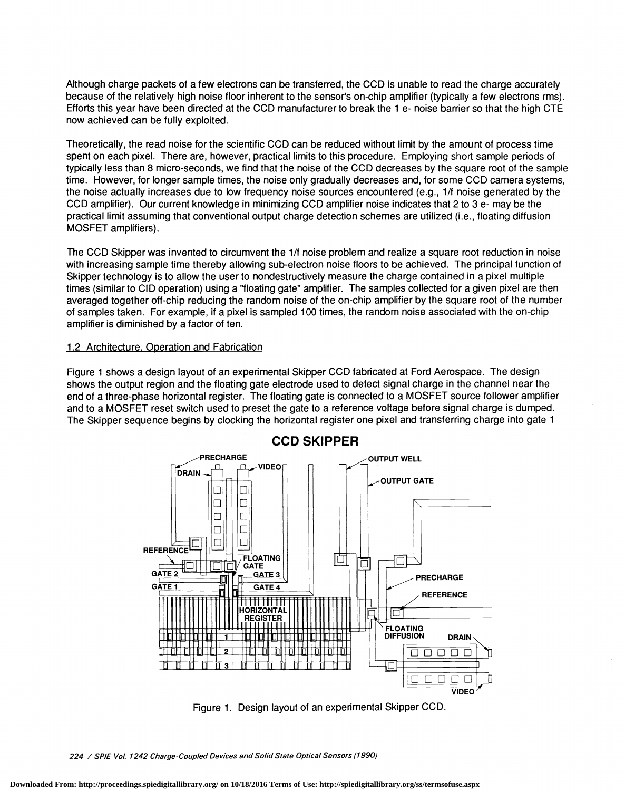Although charge packets of a few electrons can be transferred, the CCD is unable to read the charge accurately because of the relatively high noise floor inherent to the sensor's on-chip amplifier (typically a few electrons rms). Efforts this year have been directed at the CCD manufacturer to break the 1 e- noise barrier so that the high CTE now achieved can be fully exploited.

Theoretically, the read noise for the scientific CCD can be reduced without limit by the amount of process time spent on each pixel. There are, however, practical limits to this procedure. Employing short sample periods of typically less than 8 micro-seconds, we find that the noise of the CCD decreases by the square root of the sample time. However, for longer sample times, the noise only gradually decreases and, for some CCD camera systems, the noise actually increases due to low frequency noise sources encountered (e.g., 1/f noise generated by the CCD amplifier). Our current knowledge in minimizing CCD amplifier noise indicates that 2 to 3 e- may be the practical limit assuming that conventional output charge detection schemes are utilized (i.e., floating diffusion MOSFET amplifiers).

The CCD Skipper was invented to circumvent the 1/f noise problem and realize a square root reduction in noise with increasing sample time thereby allowing sub-electron noise floors to be achieved. The principal function of Skipper technology is to allow the user to nondestructively measure the charge contained in a pixel multiple times (similar to CID operation) using a "floating gate" amplifier. The samples collected for a given pixel are then averaged together off-chip reducing the random noise of the on-chip amplifier by the square root of the number of samples taken. For example, if a pixel is sampled 1 00 times, the random noise associated with the on-chip amplifier is diminished by a factor of ten.

#### 1.2 Architecture. Operation and Fabrication

Figure 1 shows a design layout of an experimental Skipper CCD fabricated at Ford Aerospace. The design shows the output region and the floating gate electrode used to detect signal charge in the channel near the end of a three-phase horizontal register. The floating gate is connected to a MOSFET source follower amplifier and to a MOSFET reset switch used to preset the gate to a reference voltage before signal charge is dumped. The Skipper sequence begins by clocking the horizontal register one pixel and transferring charge into gate 1



Figure 1. Design layout of an experimental Skipper CCD.

<sup>224 /</sup> SPIE Vol. 1242 Charge-Coupled Devices and Solid State Optical Sensors (1990)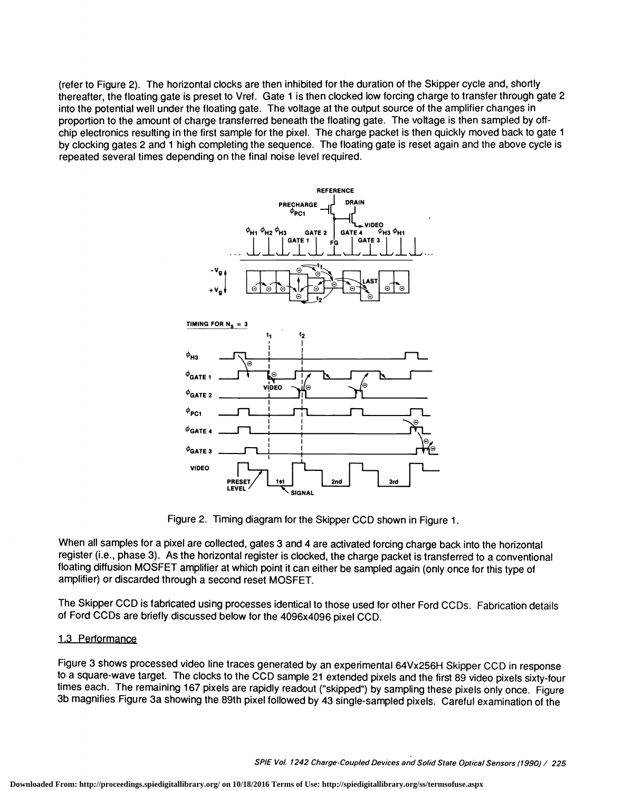(refer to Figure 2). The horizontal clocks are then inhibited for the duration of the Skipper cycle and, shortly thereafter, the floating gate is preset to Vref. Gate 1 is then clocked low forcing charge to transfer through gate 2 into the potential well under the floating gate. The voltage at the output source of the amplifier changes in proportion to the amount of charge transferred beneath the floating gate. The voltage is then sampled by offchip electronics resulting in the first sample for the pixel. The charge packet is then quickly moved back to gate 1 by clocking gates 2 and 1 high completing the sequence. The floating gate is reset again and the above cycle is repeated several times depending on the final noise level required.



Figure 2. Timing diagram for the Skipper CCD shown in Figure 1.

**SIGNAL** 

When all samples for a pixel are collected, gates 3 and 4 are activated forcing charge back into the horizontal register (i.e., phase 3). As the horizontal register is clocked, the charge packet is transferred to a conventional floating diffusion MOSFET amplifier at which point it can either be sampled again (only once for this type of amplifier) or discarded through a second reset MOSFET.

The Skipper CCD is fabricated using processes identical to those used for other Ford CCDs. Fabrication details of Ford CODs are briefly discussed below for the 4096x4096 pixel CCD.

#### 1.3 Performance

Figure 3 shows processed video line traces generated by an experimental 64Vx256H Skipper CCD in response to a square-wave target. The clocks to the CCD sample 21 extended pixels and the first 89 video pixels sixty-four times each. The remaining 167 pixels are rapidly readout ("skipped") by sampling these pixels only once. Figure 3b magnifies Figure 3a showing the 89th pixel followed by 43 single-sampled pixels. Careful examination of the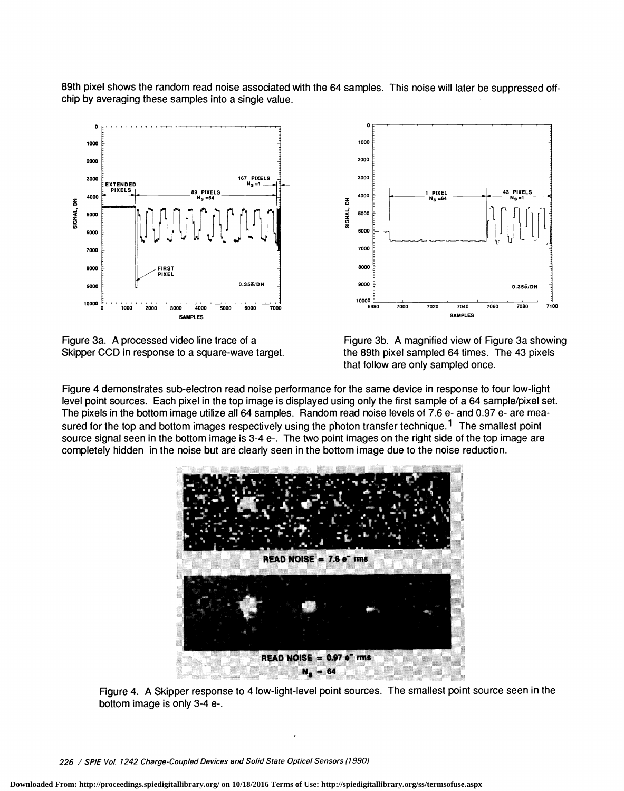89th pixel shows the random read noise associated with the 64 samples. This noise will later be suppressed offchip by averaging these samples into a single value. 0 !!l!!

 $\overline{6}$   $4000$ 

100 2000 3000

 $\frac{2}{3}$  5000  $\frac{1}{5}$  |  $\frac{6}{9}$ 

6000

7000 8000

10000 <u>E</u><br>6980 7000







6980 7000 7020 7040

4000  $\frac{1}{\epsilon}$   $\leftarrow$   $\leftarrow$   $\leftarrow$   $\leftarrow$   $\leftarrow$   $\leftarrow$   $\leftarrow$   $\leftarrow$   $\leftarrow$   $\leftarrow$   $\leftarrow$   $\leftarrow$   $\leftarrow$   $\leftarrow$   $\leftarrow$   $\leftarrow$   $\leftarrow$   $\leftarrow$   $\leftarrow$   $\leftarrow$   $\leftarrow$   $\leftarrow$   $\leftarrow$   $\leftarrow$   $\leftarrow$   $\leftarrow$   $\leftarrow$   $\leftarrow$   $\leftarrow$   $\leftarrow$   $\leftarrow$   $\leftarrow$   $\leftarrow$   $\leftarrow$ 

9000  $\frac{1}{2}$  0.35 $\frac{1}{2}$  0.35 $\frac{1}{2}$ 

7060 7080 7100

Figure 4 demonstrates sub-electron read noise performance for the same device in response to four low-light level point sources. Each pixel in the top image is displayed using only the first sample of a 64 sample/pixel set. The pixels in the bottom image utilize all 64 samples. Random read noise levels of 7.6 e- and 0.97 e- are measured for the top and bottom images respectively using the photon transfer technique.<sup>1</sup> The smallest point source signal seen in the bottom image is 3-4 e-. The two point images on the right side of the top image are completely hidden in the noise but are clearly seen in the bottom image due to the noise reduction.



Figure 4. A Skipper response to 4 low-light-level point sources. The smallest point source seen in the bottom image is only 3-4 e-.

226 / SPIE Vol. 1242 Charge-Coupled Devices and Solid State Optical Sensors (1990)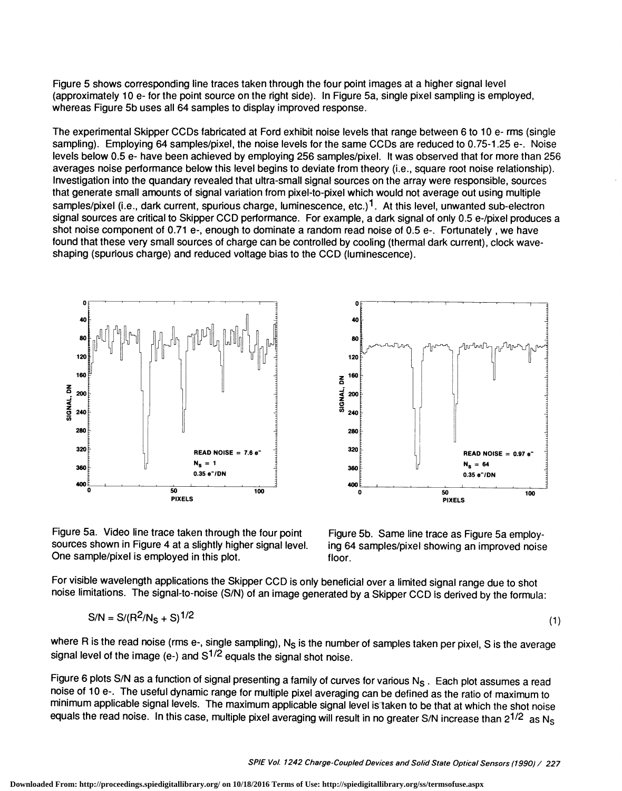Figure 5 shows corresponding line traces taken through the four point images at a higher signal level (approximately 10 e- for the point source on the right side). In Figure 5a, single pixel sampling is employed, whereas Figure 5b uses all 64 samples to display improved response.

The experimental Skipper CCDs fabricated at Ford exhibit noise levels that range between 6 to 10 e- rms (single sampling). Employing 64 samples/pixel, the noise levels for the same CCDs are reduced to 0.75-1 .25 e-. Noise levels below 0.5 e- have been achieved by employing 256 samples/pixel. It was observed that for more than 256 averages noise performance below this level begins to deviate from theory (i.e., square root noise relationship). Investigation into the quandary revealed that ultra-small signal sources on the array were responsible, sources that generate small amounts of signal variation from pixel-to-pixel which would not average out using multiple samples/pixel (i.e., dark current, spurious charge, luminescence, etc.)<sup>1</sup>. At this level, unwanted sub-electron signal sources are critical to Skipper CCD pertormance. For example, a dark signal of only 0.5 e-/pixel produces a shot noise component of 0.71 e-, enough to dominate a random read noise of 0.5 e-. Fortunately , we have found that these very small sources of charge can be controlled by cooling (thermal dark current), clock waveshaping (spurious charge) and reduced voltage bias to the CCD (luminescence).



Figure 5a. Video line trace taken through the four point sources shown in Figure 4 at a slightly higher signal level. One sample/pixel is employed in this plot.



Figure 5b. Same line trace as Figure 5a employing 64 samples/pixel showing an improved noise floor.

For visible wavelength applications the Skipper CCD is only beneficial over a limited signal range due to shot noise limitations. The signal-to-noise (S/N) of an image generated by a Skipper CCD is derived by the formula:

$$
S/N = S/(R^2/N_S + S)^{1/2}
$$
 (1)

where R is the read noise (rms e-, single sampling),  $N_S$  is the number of samples taken per pixel, S is the average signal level of the image (e-) and  $S^{1/2}$  equals the signal shot noise.

Figure 6 plots S/N as a function of signal presenting a family of curves for various  $N_S$ . Each plot assumes a read noise of 1 0 e-. The useful dynamic range for multiple pixel averaging can be defined as the ratio of maximum to minimum applicable signal levels. The maximum applicable signal level is taken to be that at which the shot noise equals the read noise. In this case, multiple pixel averaging will result in no greater S/N increase than  $2^{1/2}$  as Ns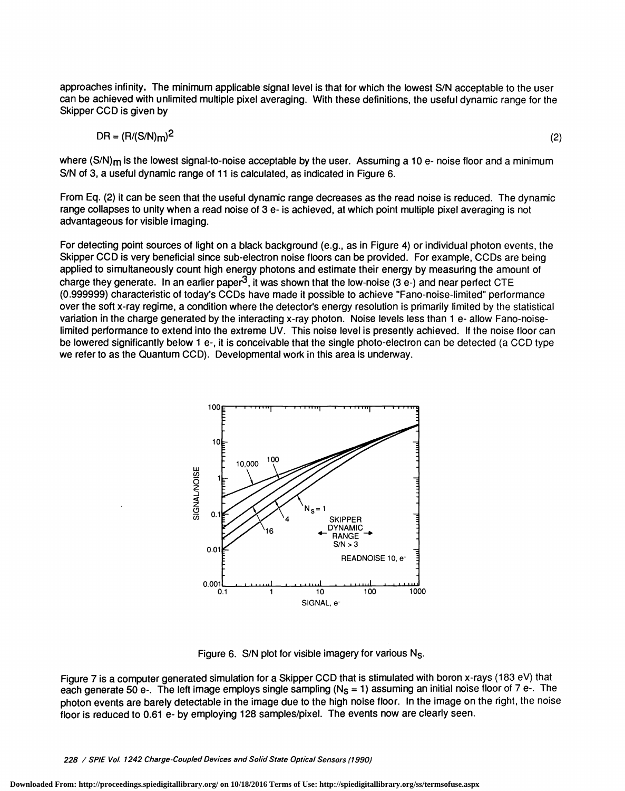approaches infinity. The minimum applicable signal level is that for which the lowest S/N acceptable to the user can be achieved with unlimited multiple pixel averaging. With these definitions, the useful dynamic range for the Skipper CCD is given by

$$
DR = (R/(S/N)m)^2 \tag{2}
$$

where  $(S/N)$ <sub>m</sub> is the lowest signal-to-noise acceptable by the user. Assuming a 10 e- noise floor and a minimum S/N of 3, a useful dynamic range of 11 is calculated, as indicated in Figure 6.

From Eq. (2) it can be seen that the useful dynamic range decreases as the read noise is reduced. The dynamic range collapses to unity when a read noise of 3 e- is achieved, at which point multiple pixel averaging is not advantageous for visible imaging.

For detecting point sources of light on a black background (e.g., as in Figure 4) or individual photon events, the Skipper CCD is very beneficial since sub-electron noise floors can be provided. For example, CCDs are being applied to simultaneously count high energy photons and estimate their energy by measuring the amount of charge they generate. In an earlier paper<sup>3</sup>, it was shown that the low-noise (3 e-) and near perfect CTE (0.999999) characteristic of today's CCDs have made it possible to achieve "Fano-noise-limited" performance over the soft x-ray regime, a condition where the detector's energy resolution is primarily limited by the statistical variation in the charge generated by the interacting x-ray photon. Noise levels less than 1 e- allow Fano-noiselimited performance to extend into the extreme UV. This noise level is presently achieved. If the noise floor can be lowered significantly below 1 e-, it is conceivable that the single photo-electron can be detected (a CCD type we refer to as the Quantum CCD). Developmental work in this area is underway.



Figure 6. S/N plot for visible imagery for various N<sub>S</sub>.

Figure 7 is a computer generated simulation for a Skipper CCD that is stimulated with boron x-rays (183 eV) that each generate 50 e-. The left image employs single sampling ( $N<sub>S</sub> = 1$ ) assuming an initial noise floor of 7 e-. The photon events are barely detectable in the image due to the high noise floor. In the image on the right, the noise floor is reduced to 0.61 e- by employing 128 samples/pixel. The events now are clearly seen.

228 / SPIE Vol. 1242 Charge-Coupled Devices and Solid State Optical Sensors (1990)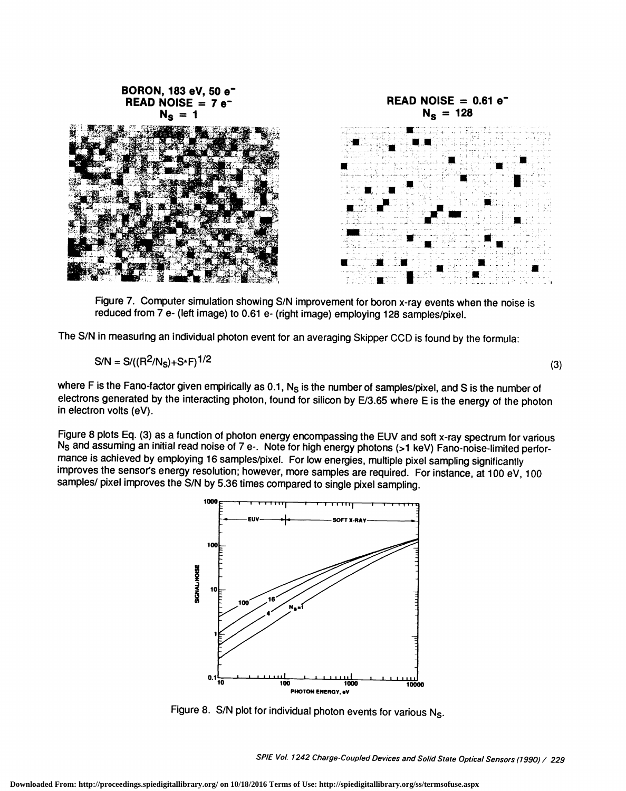

Figure 7. Computer simulation showing S/N improvement for boron x-ray events when the noise is reduced from 7 e- (left image) to 0.61 e- (right image) employing 128 samples/pixel.

The S/N in measuring an individual photon event for an averaging Skipper COD is found by the formula:

$$
S/N = S/((R^2/N_S) + S^*F)^{1/2}
$$
 (3)

where F is the Fano-factor given empirically as 0.1,  $N_S$  is the number of samples/pixel, and S is the number of electrons generated by the interacting photon, found for silicon by E/3.65 where E is the energy of the photon in electron volts (eV).

Figure 8 plots Eq. (3) as a function of photon energy encompassing the EUV and soft x-ray spectrum for various N5 and assuming an initial read noise of 7 e-. Note for high energy photons (>1 keV) Fano-noise-limited pertormance is achieved by employing 16 samples/pixel. For low energies, multiple pixel sampling significantly improves the sensor's energy resolution; however, more samples are required. For instance, at 1 00 eV, 100 samples/ pixel improves the S/N by 5.36 times compared to single pixel sampling.



Figure 8. S/N plot for individual photon events for various N<sub>S</sub>.

SPIE Vol. 1242 Charge-Coup/ed Devices and Solid State Optical Sensors (1990) / 229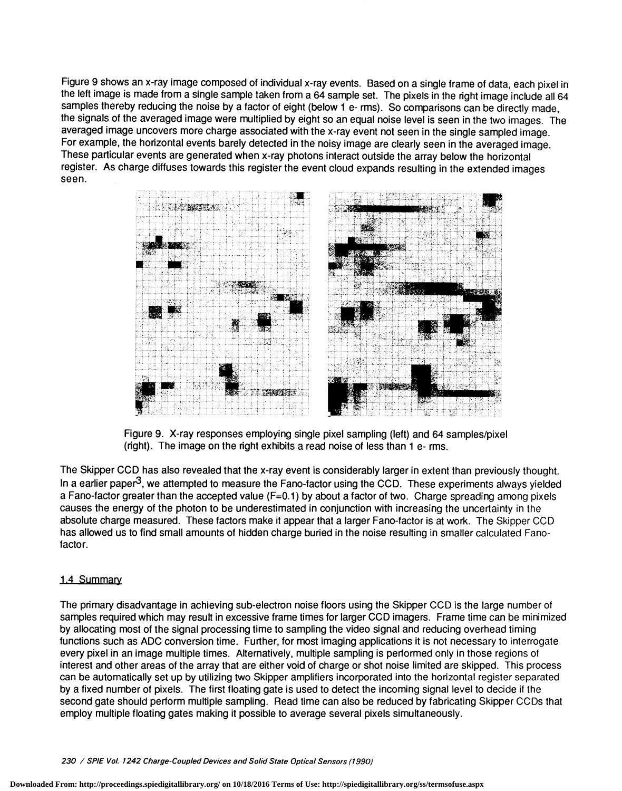Figure 9 shows an x-ray image composed of individual x-ray events. Based on a single frame of data, each pixel in the left image is made from a single sample taken from a 64 sample set. The pixels in the right image include all 64 samples thereby reducing the noise by a factor of eight (below 1 e- rms). So comparisons can be directly made, the signals of the averaged image were multiplied by eight so an equal noise level is seen in the two images. The averaged image uncovers more charge associated with the x-ray event not seen in the single sampled image. For example, the horizontal events barely detected in the noisy image are clearly seen in the averaged image. These particular events are generated when x-ray photons interact outside the array below the horizontal register. As charge diffuses towards this register the event cloud expands resulting in the extended images seen.



Figure 9. X-ray responses employing single pixel sampling (left) and 64 samples/pixel (right). The image on the right exhibits a read noise of less than 1 e- rms.

The Skipper CCD has also revealed that the x-ray event is considerably larger in extent than previously thought. In a earlier paper<sup>3</sup>, we attempted to measure the Fano-factor using the CCD. These experiments always yielded a Fano-factor greater than the accepted value (F=0.1) by about a factor of two. Charge spreading among pixels causes the energy of the photon to be underestimated in conjunction with increasing the uncertainty in the absolute charge measured. These factors make it appear that a larger Fano-factor is at work. The Skipper CCD has allowed us to find small amounts of hidden charge buried in the noise resulting in smaller calculated Fanofactor.

## 1.4 Summary

The primary disadvantage in achieving sub-electron noise floors using the Skipper CCD is the large number of samples required which may result in excessive frame times for larger CCD imagers. Frame time can be minimized by allocating most of the signal processing time to sampling the video signal and reducing overhead timing functions such as ADC conversion time. Further, for most imaging applications it is not necessary to interrogate every pixel in an image multiple times. Alternatively, multiple sampling is performed only in those regions of interest and other areas of the array that are either void of charge or shot noise limited are skipped. This process can be automatically set up by utilizing two Skipper amplifiers incorporated into the horizontal register separated by a fixed number of pixels. The first floating gate is used to detect the incoming signal level to decide if the second gate should perform multiple sampling. Read time can also be reduced by fabricating Skipper CCDs that employ multiple floating gates making it possible to average several pixels simultaneously.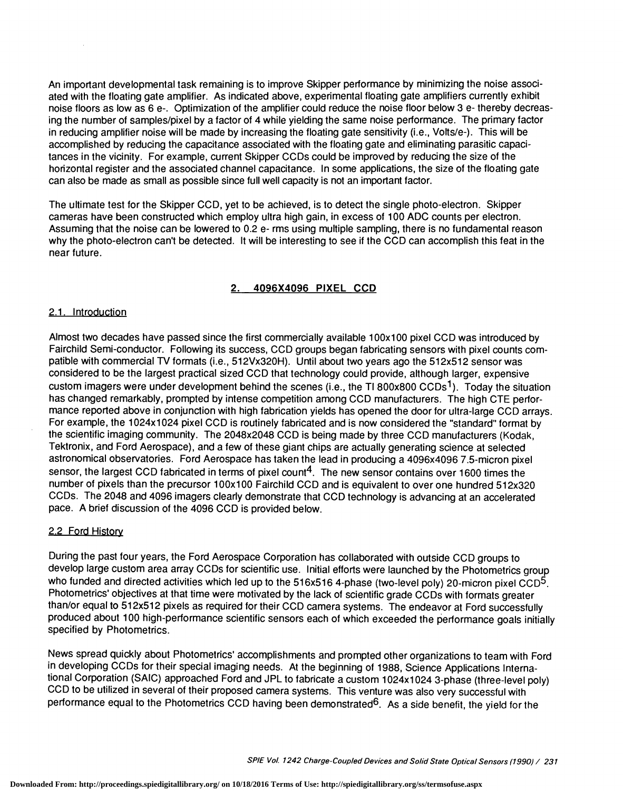An important developmental task remaining is to improve Skipper performance by minimizing the noise associated with the floating gate amplifier. As indicated above, experimental floating gate amplifiers currently exhibit noise floors as low as 6 e-. Optimization of the amplifier could reduce the noise floor below 3 e- thereby decreasing the number of samples/pixel by a factor of 4 while yielding the same noise performance. The primary factor in reducing amplifier noise will be made by increasing the floating gate sensitivity (i.e., Volts/e-). This will be accomplished by reducing the capacitance associated with the floating gate and eliminating parasitic capacitances in the vicinity. For example, current Skipper CCDs could be improved by reducing the size of the horizontal register and the associated channel capacitance. In some applications, the size of the floating gate can also be made as small as possible since full well capacity is not an important factor.

The ultimate test for the Skipper CCD, yet to be achieved, is to detect the single photo-electron. Skipper cameras have been constructed which employ ultra high gain, in excess of 100 ADC counts per electron. Assuming that the noise can be lowered to 0.2 e- rms using multiple sampling, there is no fundamental reason why the photo-electron can't be detected. It will be interesting to see if the CCD can accomplish this feat in the near future.

## 2. 4096X4096 PIXEL CCD

### 2.1. Introduction

Almost two decades have passed since the first commercially available 100x100 pixel CCD was introduced by Fairchild Semi-conductor. Following its success, COD groups began fabricating sensors with pixel counts cornpatible with commercial TV formats (i.e., 512Vx320H). Until about two years ago the 512x512 sensor was considered to be the largest practical sized COD that technology could provide, although larger, expensive custom imagers were under development behind the scenes (i.e., the TI 800x800 CCDs<sup>1</sup>). Today the situation has changed remarkably, prompted by intense competition among COD manufacturers. The high CTE performance reported above in conjunction with high fabrication yields has opened the door for ultra-large COD arrays. For example, the 1024x1024 pixel CCD is routinely fabricated and is now considered the "standard" format by the scientific imaging community. The 2048x2048 COD is being made by three COD manufacturers (Kodak, Tektronix, and Ford Aerospace), and a few of these giant chips are actually generating science at selected astronomical observatories. Ford Aerospace has taken the lead in producing a 4096x4096 7.5-micron pixel sensor, the largest CCD fabricated in terms of pixel count<sup>4</sup>. The new sensor contains over 1600 times the number of pixels than the precursor 100x100 Fairchild CCD and is equivalent to over one hundred 512x320 CODs. The 2048 and 4096 imagers clearly demonstrate that OCD technology is advancing at an accelerated pace. A brief discussion of the 4096 COD is provided below.

#### 2.2 Ford History

During the past four years, the Ford Aerospace Corporation has collaborated with outside COD groups to develop large custom area array CODs for scientific use. Initial efforts were launched by the Photometrics group who funded and directed activities which led up to the 516x516 4-phase (two-level poly) 20-micron pixel CCD<sup>5</sup>. Photometrics' objectives at that time were motivated by the lack of scientific grade CODs with formats greater than/or equal to 512x512 pixels as required for their CCD camera systems. The endeavor at Ford successfully produced about 100 high-performance scientific sensors each of which exceeded the performance goals initially specified by Photometrics.

News spread quickly about Photometrics' accomplishments and prompted other organizations to team with Ford in developing CODs for their special imaging needs. At the beginning of 1988, Science Applications International Corporation (SAIC) approached Ford and JPL to fabricate a custom 1024x1024 3-phase (three-level poly) CCD to be utilized in several of their proposed camera systems. This venture was also very successful with performance equal to the Photometrics CCD having been demonstrated<sup>6</sup>. As a side benefit, the yield for the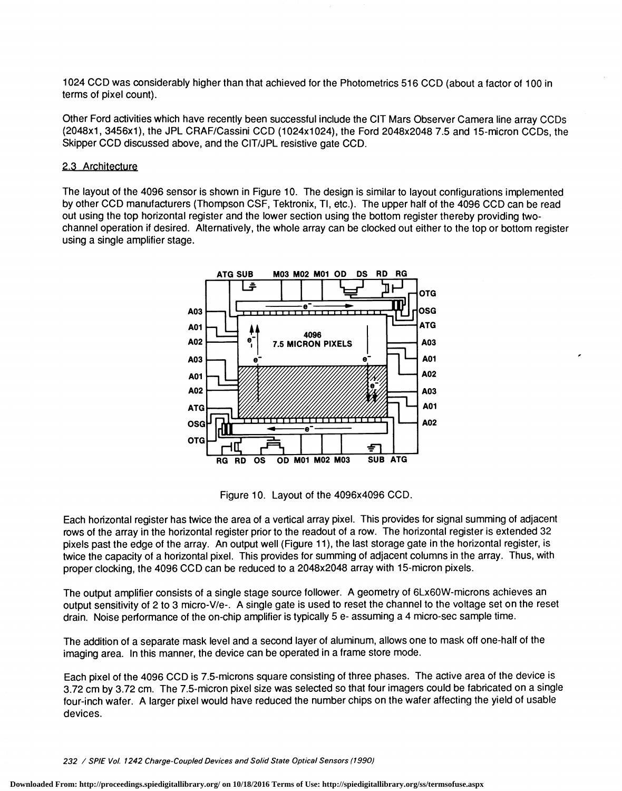1 024 CCD was considerably higher than that achieved for the Photometrics 51 6 CCD (about a factor of 1 00 in terms of pixel count).

Other Ford activities which have recently been successful include the CIT Mars Observer Camera line array CODs (2048x1 , 3456x1), the JPL CRAF/Cassini COD (1024x1024), the Ford 2048x2048 7.5 and 15-micron CODs, the Skipper CCD discussed above, and the CIT/JPL resistive gate CCD.

#### 2.3 Architecture

The layout ofthe 4096 sensor is shown in Figure 10. The design is similar to layout configurations implemented by other COD manufacturers (Thompson CSF, Tektronix, TI, etc.). The upper half of the 4096 COD can be read out using the top horizontal register and the lower section using the bottom register thereby providing twochannel operation if desired. Alternatively, the whole array can be clocked out either to the top or bottom register using a single amplifier stage.



Figure 10. Layout of the 4096x4096 CCD.

Each horizontal register has twice the area of a vertical array pixel. This provides for signal summing of adjacent rows of the array in the horizontal register prior to the readout of a row. The horizontal register is extended 32 pixels past the edge of the array. An output well (Figure 11), the last storage gate in the horizontal register, is twice the capacity of a horizontal pixel. This provides for summing of adjacent columns in the array. Thus, with proper clocking, the 4096 COD can be reduced to a 2048x2048 array with 15-micron pixels.

The output amplifier consists of a single stage source follower. A geometry of 6Lx6OW-microns achieves an output sensitivity of 2 to 3 micro-V/e-. A single gate is used to reset the channel to the voltage set on the reset drain. Noise performance of the on-chip amplifier is typically 5 e- assuming a 4 micro-sec sample time.

The addition of a separate mask level and a second layer of aluminum, allows one to mask off one-half of the imaging area. In this manner, the device can be operated in a frame store mode.

Each pixel of the 4096 COD is 7.5-microns square consisting of three phases. The active area of the device is 3.72 cm by 3.72 cm. The 7.5-micron pixel size was selected so that four imagers could be fabricated on a single four-inch wafer. A larger pixel would have reduced the number chips on the wafer affecting the yield of usable devices.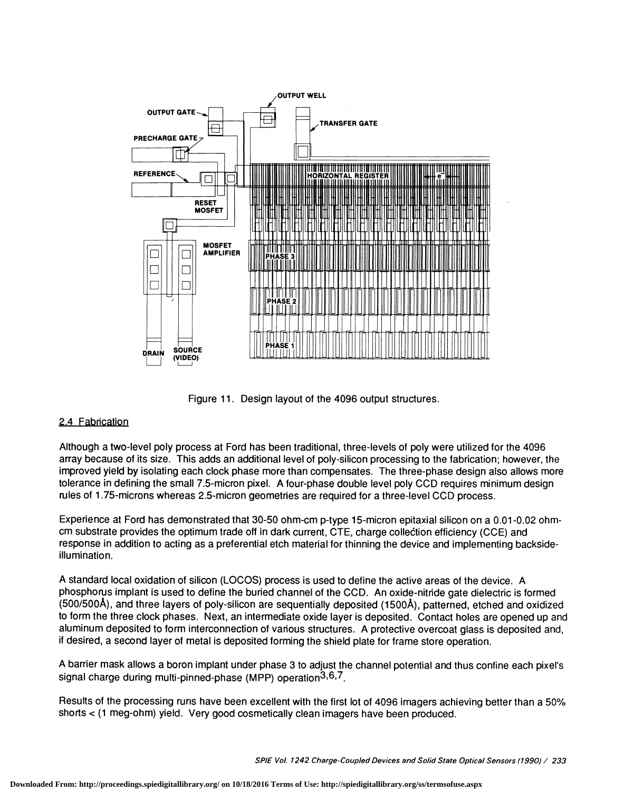

Figure 11. Design layout of the 4096 output structures.

## 2.4 Fabrication

Although a two-level poly process at Ford has been traditional, three-levels of poly were utilized for the 4096 array because of its size. This adds an additional level of poly-silicon processing to the fabrication; however, the improved yield by isolating each clock phase more than compensates. The three-phase design also allows more tolerance in defining the small 7.5-micron pixel. A four-phase double level poly CCD requires minimum design rules of 1 .75-microns whereas 2.5-micron geometries are required for a three-level COD process.

Experience at Ford has demonstrated that 30-50 ohm-cm p-type 15-micron epitaxial silicon on a 0.01-0.02 ohmcm substrate provides the optimum trade off in dark current, CTE, charge collection efficiency (CCE) and response in addition to acting as a preferential etch material for thinning the device and implementing backsideillumination.

A standard local oxidation of silicon (LOCOS) process is used to define the active areas of the device. A phosphorus implant is used to define the buried channel of the COD. An oxide-nitride gate dielectric is formed (500/500A), and three layers of poly-silicon are sequentially deposited (1500A), patterned, etched and oxidized to form the three clock phases. Next, an intermediate oxide layer is deposited. Contact holes are opened up and aluminum deposited to form interconnection of various structures. A protective overcoat glass is deposited and, if desired, a second layer of metal is deposited forming the shield plate for frame store operation.

A barrier mask allows a boron implant under phase 3 to adjust the channel potential and thus confine each pixel's signal charge during multi-pinned-phase (MPP) operation  $3.6, 7$ .

Results of the processing runs have been excellent with the first lot of 4096 imagers achieving better than a 50% shorts < (1 meg-ohm) yield. Very good cosmetically clean imagers have been produced.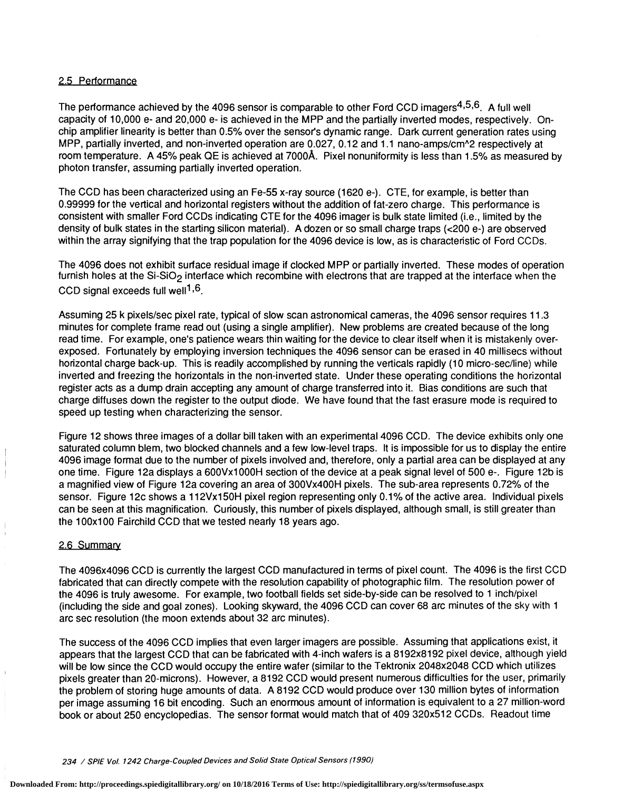#### 2.5 Performance

The performance achieved by the 4096 sensor is comparable to other Ford CCD imagers<sup>4,5,6</sup>. A full well capacity of 10,000 e- and 20,000 e- is achieved in the MPP and the partially inverted modes, respectively. Onchip amplifier linearity is better than 0.5% over the sensor's dynamic range. Dark current generation rates using MPP, partially inverted, and non-inverted operation are 0.027, 0.12 and 1.1 nano-amps/cm<sup>^2</sup> respectively at room temperature. A 45% peak QE is achieved at 7000Å. Pixel nonuniformity is less than 1.5% as measured by photon transfer, assuming partially inverted operation.

The CCD has been characterized using an Fe-55 x-ray source (1620 e-). CTE, for example, is better than 0.99999 for the vertical and horizontal registers without the addition of fat-zero charge. This performance is consistent with smaller Ford CODs indicating GTE for the 4096 imager is bulk state limited (i.e., limited by the density of bulk states in the starting silicon matenal). A dozen or so small charge traps (<200 e-) are observed within the array signifying that the trap population for the 4096 device is low, as is characteristic of Ford CCDs.

The 4096 does not exhibit surface residual image if clocked MPP or partially inverted. These modes of operation furnish holes at the Si-SiO<sub>2</sub> interface which recombine with electrons that are trapped at the interface when the CCD signal exceeds full well<sup>1,6</sup>.

Assuming 25 k pixels/sec pixel rate, typical of slow scan astronomical cameras, the 4096 sensor requires 11.3 minutes for complete frame read out (using a single amplifier). New problems are created because of the long read time. For example, one's patience wears thin waiting for the device to clear itself when it is mistakenly overexposed. Fortunately by employing inversion techniques the 4096 sensor can be erased in 40 millisecs without horizontal charge back-up. This is readily accomplished by running the verticals rapidly (10 micro-sec/line) while inverted and freezing the horizontals in the non-inverted state. Under these operating conditions the horizontal register acts as a dump drain accepting any amount of charge transferred into it. Bias conditions are such that charge diffuses down the register to the output diode. We have found that the fast erasure mode is required to speed up testing when characterizing the sensor.

Figure 12 shows three images of a dollar bill taken with an experimental 4096 CCD. The device exhibits only one saturated column blem, two blocked channels and a few low-level traps. it is impossible for us to display the entire 4096 image format due to the number of pixels involved and, therefore, only a partial area can be displayed at any one time. Figure 12a displays a 600Vx1000H section of the device at a peak signal level of 500 e-. Figure 12b is a magnified view of Figure 12a covering an area of 300Vx400H pixels. The sub-area represents 0.72% of the sensor. Figure 12c shows a 112Vx15OH pixel region representing only 0.1% of the active area. Individual pixels can be seen at this magnification. Guriously, this number of pixels displayed, although small, is still greater than the 100x100 Fairchild CCD that we tested nearly 18 years ago.

#### 2.6 Summary

The 4096x4096 GCD is currently the largest CCD manufactured in terms of pixel count. The 4096 is the first CCD fabricated that can directly compete with the resolution capability of photographic film. The resolution power of the 4096 is truly awesome. For example, two football fields set side-by-side can be resolved to 1 inch/pixel (including the side and goal zones). Looking skyward, the 4096 GOD can cover 68 arc minutes of the sky with 1 arc sec resolution (the moon extends about 32 arc minutes).

The success of the 4096 COD implies that even larger imagers are possible. Assuming that applications exist, it appears that the largest CCD that can be fabricated with 4-inch wafers is a 8192x8192 pixel device, although yield will be low since the GOD would occupy the entire wafer (similar to the Tektronix 2048x2048 COD which utilizes pixels greater than 20-microns). However, a 8192 CCD would present numerous difficulties for the user, primarily the problem of storing huge amounts of data. A 8192 CCD would produce over 130 million bytes of information per image assuming 16 bit encoding. Such an enormous amount of information is equivalent to a 27 million-word book or about 250 encyclopedias. The sensor format would match that of 409 320x512 CCDs. Readout time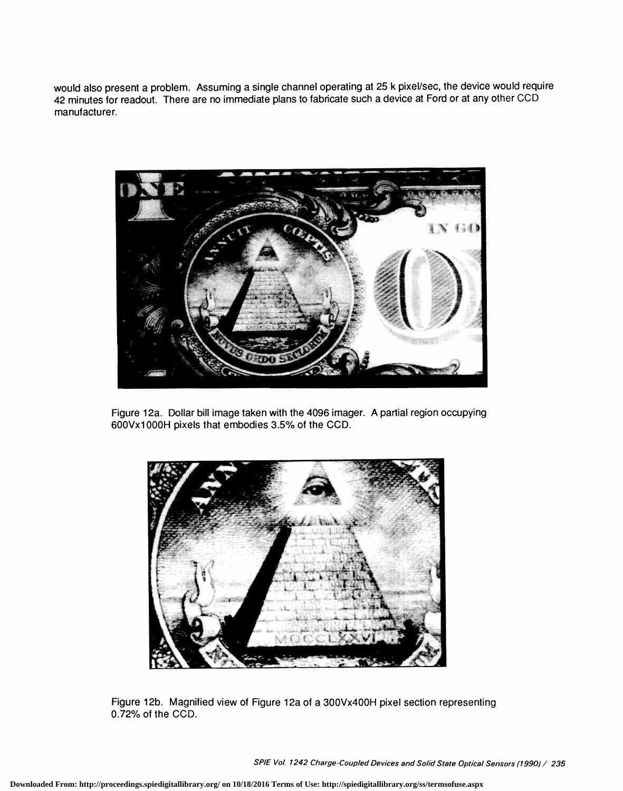would also present a problem. Assuming a single channel operating at 25 k pixel/sec, the device would require 42 minutes for readout. There are no immediate plans to fabricate such a device at Ford or at any other CCD manufacturer.



Figure 12a. Dollar bill image taken with the 4096 imager. A partial region occupying 600Vxl 000H pixels that embodies 3.5% of the CCD.



Figure 12b. Magnified view of Figure 12a of a 300Vx400H pixel section representing 0.72% of the CCD.

SPIE Vol. 1242 Charge-Coupled Devices and Solid State Optical Sensors (1990) / 235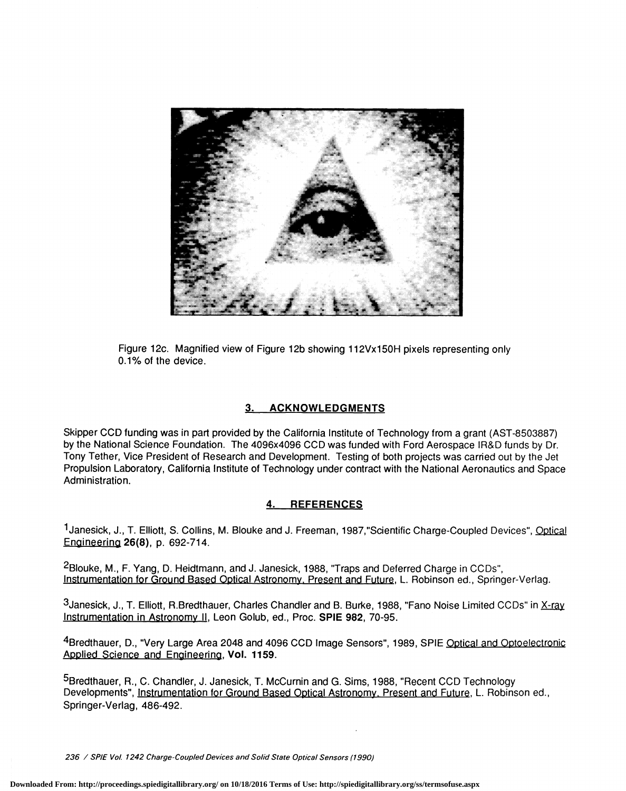

Figure 12c. Magnified view of Figure 12b showing 112Vx15OH pixels representing only 0.1% of the device.

## 3. ACKNOWLEDGMENTS

Skipper CCD funding was in part provided by the California Institute of Technology from a grant (AST-8503887) by the National Science Foundation. The 4096x4096 COD was funded with Ford Aerospace lR&D funds by Dr. Tony Tether, Vice President of Research and Development. Testing of both projects was carried out by the Jet Propulsion Laboratory, California Institute of Technology under contract with the National Aeronautics and Space Administration.

# 4. REFERENCES

1Janesick, J., T. Elliott, S. Collins, M. Blouke and J. Freeman, 1987,"Scientific Charge-Coupled Devices", Optical Engineeripg 26(8), p. 692-714.

2Blouke, M., F. Yang, D. Heidtmann, and J. Janesick, 1988, "Traps and Deferred Charge in CCDs", Instrumentation for Ground Based Optical Astronomy. Present and Future, L. Robinson ed., Springer-Verlag.

3janesick, J., T. Elliott, R.Bredthauer, Charles Chandler and B. Burke, 1988, "Fano Noise Limited CCDs" in X-ray Instrumentation in Astronomy II, Leon Golub, ed., Proc. SPIE 982, 70-95.

4Bredthauer, D., "Very Large Area 2048 and 4096 CCD Image Sensors", 1989, SPIE Optical and Optoelectronic Applied Science and Engineering, Vol. 1159.

5Bredthauer, R., C. Chandler, J. Janesick, T. McCurnin and G. Sims, 1988, "Recent CCD Technology Developments", Instrumentation for Ground Based Optical Astronomy. Present and Future, L. Robinson ed., Springer-Verlag, 486-492.

236 / SPIE Vol. 1242 Charge-Coupled Devices and Solid State Optical Sensors (1990)